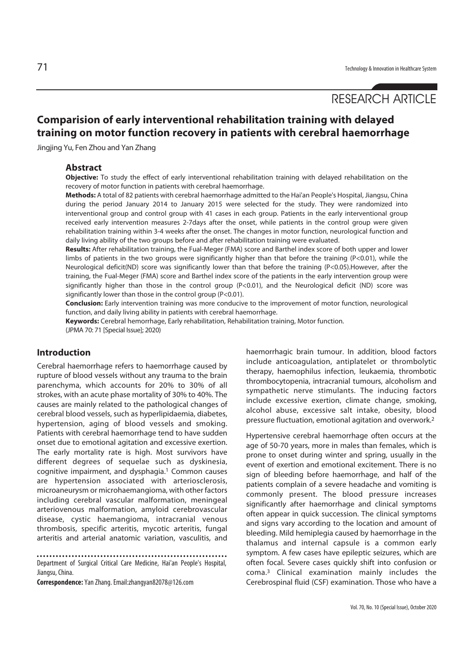# RESEARCH ARTICLE

## **Comparision of early interventional rehabilitation training with delayed training on motor function recovery in patients with cerebral haemorrhage**

Jingjing Yu, Fen Zhou and Yan Zhang

#### **Abstract**

**Objective:** To study the effect of early interventional rehabilitation training with delayed rehabilitation on the recovery of motor function in patients with cerebral haemorrhage.

**Methods:** A total of 82 patients with cerebral haemorrhage admitted to the Hai'an People's Hospital, Jiangsu, China during the period January 2014 to January 2015 were selected for the study. They were randomized into interventional group and control group with 41 cases in each group. Patients in the early interventional group received early intervention measures 2-7days after the onset, while patients in the control group were given rehabilitation training within 3-4 weeks after the onset. The changes in motor function, neurological function and daily living ability of the two groups before and after rehabilitation training were evaluated.

**Results:** After rehabilitation training, the Fual-Meger (FMA) score and Barthel index score of both upper and lower limbs of patients in the two groups were significantly higher than that before the training (P<0.01), while the Neurological deficit(ND) score was significantly lower than that before the training (P<0.05).However, after the training, the Fual-Meger (FMA) score and Barthel index score of the patients in the early intervention group were significantly higher than those in the control group (P<0.01), and the Neurological deficit (ND) score was significantly lower than those in the control group (P<0.01).

**Conclusion:** Early intervention training was more conducive to the improvement of motor function, neurological function, and daily living ability in patients with cerebral haemorrhage.

**Keywords:** Cerebral hemorrhage, Early rehabilitation, Rehabilitation training, Motor function. (JPMA 70: 71 [Special Issue]; 2020)

### **Introduction**

Cerebral haemorrhage refers to haemorrhage caused by rupture of blood vessels without any trauma to the brain parenchyma, which accounts for 20% to 30% of all strokes, with an acute phase mortality of 30% to 40%. The causes are mainly related to the pathological changes of cerebral blood vessels, such as hyperlipidaemia, diabetes, hypertension, aging of blood vessels and smoking. Patients with cerebral haemorrhage tend to have sudden onset due to emotional agitation and excessive exertion. The early mortality rate is high. Most survivors have different degrees of sequelae such as dyskinesia, cognitive impairment, and dysphagia.1 Common causes are hypertension associated with arteriosclerosis, microaneurysm or microhaemangioma, with other factors including cerebral vascular malformation, meningeal arteriovenous malformation, amyloid cerebrovascular disease, cystic haemangioma, intracranial venous thrombosis, specific arteritis, mycotic arteritis, fungal arteritis and arterial anatomic variation, vasculitis, and

Department of Surgical Critical Care Medicine, Hai'an People's Hospital, Jiangsu, China.

**Correspondence:** Yan Zhang. Email:zhangyan82078@126.com

haemorrhagic brain tumour. In addition, blood factors include anticoagulation, antiplatelet or thrombolytic therapy, haemophilus infection, leukaemia, thrombotic thrombocytopenia, intracranial tumours, alcoholism and sympathetic nerve stimulants. The inducing factors include excessive exertion, climate change, smoking, alcohol abuse, excessive salt intake, obesity, blood pressure fluctuation, emotional agitation and overwork.2

Hypertensive cerebral haemorrhage often occurs at the age of 50-70 years, more in males than females, which is prone to onset during winter and spring, usually in the event of exertion and emotional excitement. There is no sign of bleeding before haemorrhage, and half of the patients complain of a severe headache and vomiting is commonly present. The blood pressure increases significantly after haemorrhage and clinical symptoms often appear in quick succession. The clinical symptoms and signs vary according to the location and amount of bleeding. Mild hemiplegia caused by haemorrhage in the thalamus and internal capsule is a common early symptom. A few cases have epileptic seizures, which are often focal. Severe cases quickly shift into confusion or coma.3 Clinical examination mainly includes the Cerebrospinal fluid (CSF) examination. Those who have a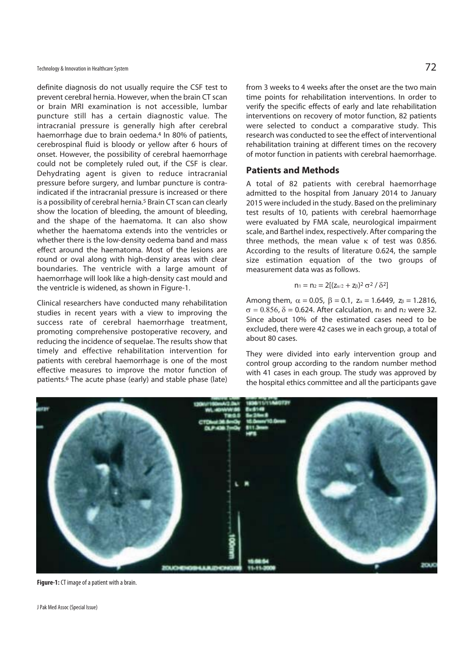definite diagnosis do not usually require the CSF test to prevent cerebral hernia. However, when the brain CT scan or brain MRI examination is not accessible, lumbar puncture still has a certain diagnostic value. The intracranial pressure is generally high after cerebral haemorrhage due to brain oedema.4 In 80% of patients, cerebrospinal fluid is bloody or yellow after 6 hours of onset. However, the possibility of cerebral haemorrhage could not be completely ruled out, if the CSF is clear. Dehydrating agent is given to reduce intracranial pressure before surgery, and lumbar puncture is contraindicated if the intracranial pressure is increased or there is a possibility of cerebral hernia.<sup>5</sup> Brain CT scan can clearly show the location of bleeding, the amount of bleeding, and the shape of the haematoma. It can also show whether the haematoma extends into the ventricles or whether there is the low-density oedema band and mass effect around the haematoma. Most of the lesions are round or oval along with high-density areas with clear boundaries. The ventricle with a large amount of haemorrhage will look like a high-density cast mould and the ventricle is widened, as shown in Figure-1.

Clinical researchers have conducted many rehabilitation studies in recent years with a view to improving the success rate of cerebral haemorrhage treatment, promoting comprehensive postoperative recovery, and reducing the incidence of sequelae. The results show that timely and effective rehabilitation intervention for patients with cerebral haemorrhage is one of the most effective measures to improve the motor function of patients.6 The acute phase (early) and stable phase (late)

from 3 weeks to 4 weeks after the onset are the two main time points for rehabilitation interventions. In order to verify the specific effects of early and late rehabilitation interventions on recovery of motor function, 82 patients were selected to conduct a comparative study. This research was conducted to see the effect of interventional rehabilitation training at different times on the recovery of motor function in patients with cerebral haemorrhage.

### **Patients and Methods**

A total of 82 patients with cerebral haemorrhage admitted to the hospital from January 2014 to January 2015 were included in the study. Based on the preliminary test results of 10, patients with cerebral haemorrhage were evaluated by FMA scale, neurological impairment scale, and Barthel index, respectively. After comparing the three methods, the mean value  $\kappa$  of test was 0.856. According to the results of literature 0.624, the sample size estimation equation of the two groups of measurement data was as follows.

$$
n_1 = n_2 = 2[(z_{\alpha/2} + z_{\beta})^2 \sigma^2 / \delta^2]
$$

Among them,  $\alpha = 0.05$ ,  $\beta = 0.1$ ,  $z_{\alpha} = 1.6449$ ,  $z_{\beta} = 1.2816$ ,  $\sigma = 0.856$ ,  $\delta = 0.624$ . After calculation, n<sub>1</sub> and n<sub>2</sub> were 32. Since about 10% of the estimated cases need to be excluded, there were 42 cases we in each group, a total of about 80 cases.

They were divided into early intervention group and control group according to the random number method with 41 cases in each group. The study was approved by the hospital ethics committee and all the participants gave



**Figure-1:** CT image of a patient with a brain.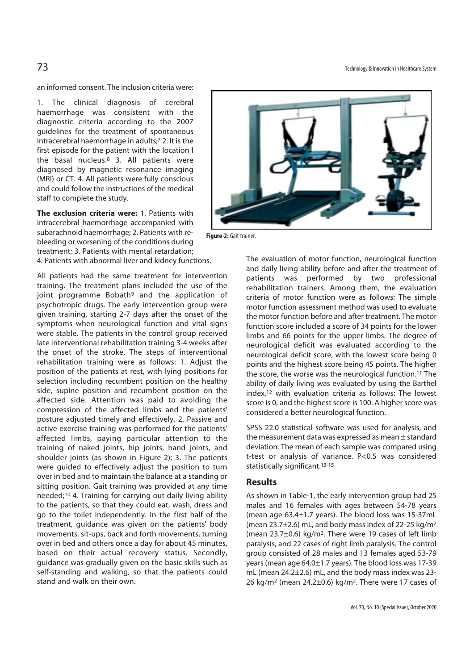an informed consent. The inclusion criteria were:

1. The clinical diagnosis of cerebral haemorrhage was consistent with the diagnostic criteria according to the 2007 guidelines for the treatment of spontaneous intracerebral haemorrhage in adults;7 2. It is the first episode for the patient with the location I the basal nucleus.8 3. All patients were diagnosed by magnetic resonance imaging (MRI) or CT. 4. All patients were fully conscious and could follow the instructions of the medical staff to complete the study.

**The exclusion criteria were:** 1. Patients with intracerebral haemorrhage accompanied with subarachnoid haemorrhage; 2. Patients with rebleeding or worsening of the conditions during treatment; 3. Patients with mental retardation; 4. Patients with abnormal liver and kidney functions.

All patients had the same treatment for intervention training. The treatment plans included the use of the joint programme Bobath<sup>9</sup> and the application of psychotropic drugs. The early intervention group were given training, starting 2-7 days after the onset of the symptoms when neurological function and vital signs were stable. The patients in the control group received late interventional rehabilitation training 3-4 weeks after the onset of the stroke. The steps of interventional rehabilitation training were as follows: 1. Adjust the position of the patients at rest, with lying positions for selection including recumbent position on the healthy side, supine position and recumbent position on the affected side. Attention was paid to avoiding the compression of the affected limbs and the patients' posture adjusted timely and effectively. 2. Passive and active exercise training was performed for the patients' affected limbs, paying particular attention to the training of naked joints, hip joints, hand joints, and shoulder joints (as shown in Figure 2); 3. The patients were guided to effectively adjust the position to turn over in bed and to maintain the balance at a standing or sitting position. Gait training was provided at any time needed;10 4. Training for carrying out daily living ability to the patients, so that they could eat, wash, dress and go to the toilet independently. In the first half of the treatment, guidance was given on the patients' body movements, sit-ups, back and forth movements, turning over in bed and others once a day for about 45 minutes, based on their actual recovery status. Secondly, guidance was gradually given on the basic skills such as self-standing and walking, so that the patients could stand and walk on their own.



**Figure-2:** Gait trainer.

The evaluation of motor function, neurological function and daily living ability before and after the treatment of patients was performed by two professional rehabilitation trainers. Among them, the evaluation criteria of motor function were as follows: The simple motor function assessment method was used to evaluate the motor function before and after treatment. The motor function score included a score of 34 points for the lower limbs and 66 points for the upper limbs. The degree of neurological deficit was evaluated according to the neurological deficit score, with the lowest score being 0 points and the highest score being 45 points. The higher the score, the worse was the neurological function.11 The ability of daily living was evaluated by using the Barthel index,12 with evaluation criteria as follows: The lowest score is 0, and the highest score is 100. A higher score was considered a better neurological function.

SPSS 22.0 statistical software was used for analysis, and the measurement data was expressed as mean ± standard deviation. The mean of each sample was compared using t-test or analysis of variance. P<0.5 was considered statistically significant.13-15

#### **Results**

As shown in Table-1, the early intervention group had 25 males and 16 females with ages between 54-78 years (mean age 63.4±1.7 years). The blood loss was 15-37mL (mean  $23.7\pm2.6$ ) mL, and body mass index of  $22-25$  kg/m<sup>2</sup> (mean 23.7±0.6) kg/m2. There were 19 cases of left limb paralysis, and 22 cases of right limb paralysis. The control group consisted of 28 males and 13 females aged 53-79 years (mean age 64.0±1.7 years). The blood loss was 17-39 mL (mean 24.2±2.6) mL, and the body mass index was 23- 26 kg/m<sup>2</sup> (mean 24.2 $\pm$ 0.6) kg/m<sup>2</sup>. There were 17 cases of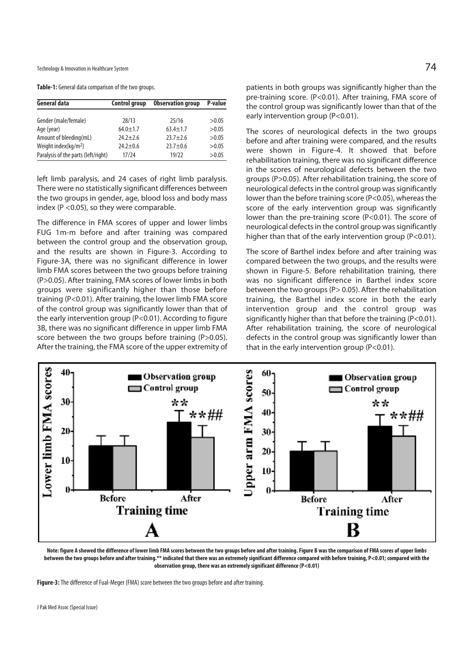Technology & Innovation in Healthcare System  $74$ 

**Table-1:** General data comparison of the two groups.

| General data                        | <b>Control group</b> | <b>Observation group</b> | P-value |
|-------------------------------------|----------------------|--------------------------|---------|
| Gender (male/female)                | 28/13                | 25/16                    | >0.05   |
| Age (year)                          | $64.0 \pm 1.7$       | $63.4 + 1.7$             | >0.05   |
| Amount of bleeding(mL)              | $24.2 + 2.6$         | $73.7 + 7.6$             | >0.05   |
| Weight index( $kq/m2$ )             | $74.7 + 0.6$         | $23.7 + 0.6$             | >0.05   |
| Paralysis of the parts (left/right) | 17/24                | 19/22                    | >0.05   |

left limb paralysis, and 24 cases of right limb paralysis. There were no statistically significant differences between the two groups in gender, age, blood loss and body mass index (P <0.05), so they were comparable.

The difference in FMA scores of upper and lower limbs FUG 1m-m before and after training was compared between the control group and the observation group, and the results are shown in Figure-3. According to Figure-3A, there was no significant difference in lower limb FMA scores between the two groups before training (P>0.05). After training, FMA scores of lower limbs in both groups were significantly higher than those before training (P<0.01). After training, the lower limb FMA score of the control group was significantly lower than that of the early intervention group (P<0.01). According to figure 3B, there was no significant difference in upper limb FMA score between the two groups before training (P>0.05). After the training, the FMA score of the upper extremity of patients in both groups was significantly higher than the pre-training score. (P<0.01). After training, FMA score of the control group was significantly lower than that of the early intervention group (P<0.01).

The scores of neurological defects in the two groups before and after training were compared, and the results were shown in Figure-4. It showed that before rehabilitation training, there was no significant difference in the scores of neurological defects between the two groups (P>0.05). After rehabilitation training, the score of neurological defects in the control group was significantly lower than the before training score (P<0.05), whereas the score of the early intervention group was significantly lower than the pre-training score (P<0.01). The score of neurological defects in the control group was significantly higher than that of the early intervention group (P<0.01).

The score of Barthel index before and after training was compared between the two groups, and the results were shown in Figure-5. Before rehabilitation training, there was no significant difference in Barthel index score between the two groups (P > 0.05). After the rehabilitation training, the Barthel index score in both the early intervention group and the control group was significantly higher than that before the training (P<0.01). After rehabilitation training, the score of neurological defects in the control group was significantly lower than that in the early intervention group (P<0.01).



**Note: figure A showed the difference of lower limb FMA scores between the two groups before and after training. Figure B was the comparison of FMA scores of upper limbs**  between the two groups before and after training.\*\* indicated that there was an extremely significant difference compared with before training, P<0.01; compared with the **observation group, there was an extremely significant difference (P<0.01)** 

**Figure-3:** The difference of Fual-Meger (FMA) score between the two groups before and after training.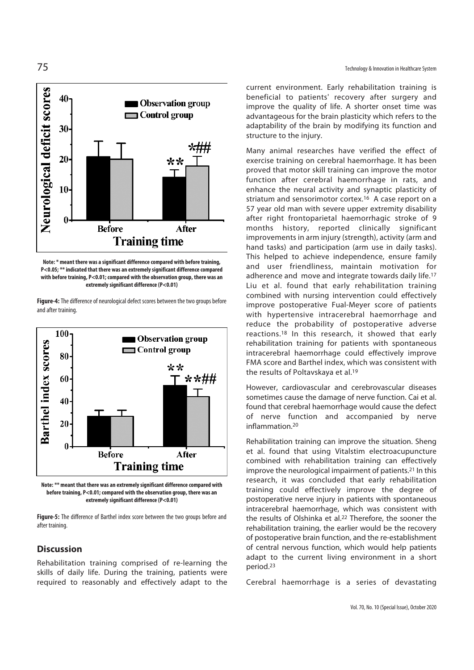

**Note: \* meant there was a significant difference compared with before training, P<0.05; \*\* indicated that there was an extremely significant difference compared with before training, P<0.01; compared with the observation group, there was an extremely significant difference (P<0.01)** 

**Figure-4:** The difference of neurological defect scores between the two groups before and after training.



**Note: \*\* meant that there was an extremely significant difference compared with before training, P<0.01; compared with the observation group, there was an extremely significant difference (P<0.01)** 

**Figure-5:** The difference of Barthel index score between the two groups before and after training.

#### **Discussion**

Rehabilitation training comprised of re-learning the skills of daily life. During the training, patients were required to reasonably and effectively adapt to the

current environment. Early rehabilitation training is beneficial to patients' recovery after surgery and improve the quality of life. A shorter onset time was advantageous for the brain plasticity which refers to the adaptability of the brain by modifying its function and structure to the injury.

Many animal researches have verified the effect of exercise training on cerebral haemorrhage. It has been proved that motor skill training can improve the motor function after cerebral haemorrhage in rats, and enhance the neural activity and synaptic plasticity of striatum and sensorimotor cortex.<sup>16</sup> A case report on a 57 year old man with severe upper extremity disability after right frontoparietal haemorrhagic stroke of 9 months history, reported clinically significant improvements in arm injury (strength), activity (arm and hand tasks) and participation (arm use in daily tasks). This helped to achieve independence, ensure family and user friendliness, maintain motivation for adherence and move and integrate towards daily life.<sup>17</sup> Liu et al. found that early rehabilitation training combined with nursing intervention could effectively improve postoperative Fual-Meyer score of patients with hypertensive intracerebral haemorrhage and reduce the probability of postoperative adverse reactions.18 In this research, it showed that early rehabilitation training for patients with spontaneous intracerebral haemorrhage could effectively improve FMA score and Barthel index, which was consistent with the results of Poltavskaya et al.19

However, cardiovascular and cerebrovascular diseases sometimes cause the damage of nerve function. Cai et al. found that cerebral haemorrhage would cause the defect of nerve function and accompanied by nerve inflammation.20

Rehabilitation training can improve the situation. Sheng et al. found that using Vitalstim electroacupuncture combined with rehabilitation training can effectively improve the neurological impairment of patients.21 In this research, it was concluded that early rehabilitation training could effectively improve the degree of postoperative nerve injury in patients with spontaneous intracerebral haemorrhage, which was consistent with the results of Olshinka et al.<sup>22</sup> Therefore, the sooner the rehabilitation training, the earlier would be the recovery of postoperative brain function, and the re-establishment of central nervous function, which would help patients adapt to the current living environment in a short period.23

Cerebral haemorrhage is a series of devastating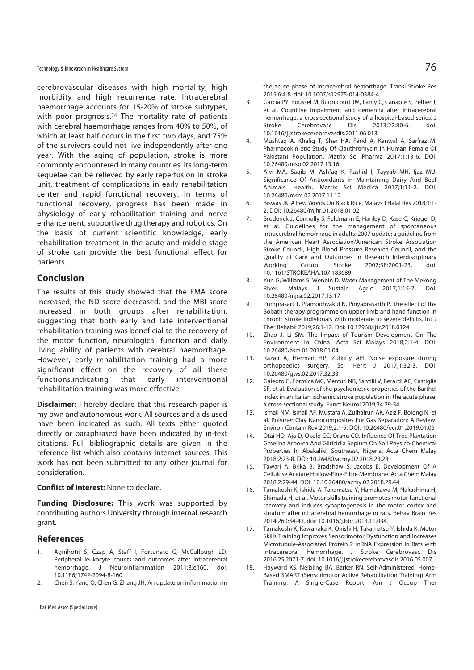Technology & Innovation in Healthcare System  $76\,$ 

cerebrovascular diseases with high mortality, high morbidity and high recurrence rate. Intracerebral haemorrhage accounts for 15-20% of stroke subtypes, with poor prognosis.<sup>24</sup> The mortality rate of patients with cerebral haemorrhage ranges from 40% to 50%, of which at least half occurs in the first two days, and 75% of the survivors could not live independently after one year. With the aging of population, stroke is more commonly encountered in many countries. Its long-term sequelae can be relieved by early reperfusion in stroke unit, treatment of complications in early rehabilitation center and rapid functional recovery. In terms of functional recovery, progress has been made in physiology of early rehabilitation training and nerve enhancement, supportive drug therapy and robotics. On the basis of current scientific knowledge, early rehabilitation treatment in the acute and middle stage of stroke can provide the best functional effect for patients.

#### **Conclusion**

The results of this study showed that the FMA score increased, the ND score decreased, and the MBI score increased in both groups after rehabilitation, suggesting that both early and late interventional rehabilitation training was beneficial to the recovery of the motor function, neurological function and daily living ability of patients with cerebral haemorrhage. However, early rehabilitation training had a more significant effect on the recovery of all these functions,indicating that early interventional rehabilitation training was more effective.

**Disclaimer:** I hereby declare that this research paper is my own and autonomous work. All sources and aids used have been indicated as such. All texts either quoted directly or paraphrased have been indicated by in-text citations. Full bibliographic details are given in the reference list which also contains internet sources. This work has not been submitted to any other journal for consideration.

#### **Conflict of Interest:** None to declare.

**Funding Disclosure:** This work was supported by contributing authors University through internal research grant.

#### **References**

- 1. Agnihotri S, Czap A, Staff I, Fortunato G, McCullough LD. Peripheral leukocyte counts and outcomes after intracerebral hemorrhage. J Neuroinflammation 2011;8:e160. doi: 10.1186/1742-2094-8-160.
- 2. Chen S, Yang Q, Chen G, Zhang JH. An update on inflammation in

the acute phase of intracerebral hemorrhage. Transl Stroke Res 2015;6:4-8. doi: 10.1007/s12975-014-0384-4.

- 3. Garcia PY, Roussel M, Bugnicourt JM, Lamy C, Canaple S, Peltier J, et al. Cognitive impairment and dementia after intracerebral hemorrhage: a cross-sectional study of a hospital-based series. J<br>Stroke Cerebrovasc Dis 2013;22:80-6. doi: Stroke Cerebrovasc Dis 2013;22:80-6. doi: 10.1016/j.jstrokecerebrovasdis.2011.06.013.
- 4. Mushtaq A, Khaliq T, Sher HA, Farid A, Kanwal A, Sarfraz M. Pharmacokin etic Study Of Clarithromycin In Human Female Of Pakistani Population. Matrix Sci Pharma 2017;1:13-6. DOI: 10.26480/msp.02.2017.13.16
- 5. Alvi MA, Saqib M, Ashfaq K, Rashid I, Tayyab MH, Ijaz MU. Significance Of Antioxidants In Maintaining Dairy And Beef Animals' Health. Matrix Sci Medica 2017;1:11-2. DOI: 10.26480/msm.02.2017.11.12
- 6. Biswas JK. A Few Words On Black Rice. Malays J Halal Res 2018;1:1- 2. DOI: 10.26480/mjhr.01.2018.01.02
- 7. Broderick J, Connolly S, Feldmann E, Hanley D, Kase C, Krieger D, et al. Guidelines for the management of spontaneous intracerebral hemorrhage in adults: 2007 update: a guideline from the American Heart Association/American Stroke Association Stroke Council, High Blood Pressure Research Council, and the Quality of Care and Outcomes in Research Interdisciplinary<br>Working Group. Stroke 2007;38:2001-23. doi: Group. Stroke 2007;38:2001-23. doi: 10.1161/STROKEAHA.107.183689.
- 8. Yun G, Williams S, Wenbin D. Water Management of The Mekong River. Malays J Sustain Agric 2017;1:15-7. Doi: 10.26480/mjsa.02.2017.15.17
- 9. Pumprasart T, Pramodhyakul N, Piriyaprasarth P. The effect of the Bobath therapy programme on upper limb and hand function in chronic stroke individuals with moderate to severe deficits. Int J Ther Rehabil 2019;26:1-12. Doi: 10.12968/ijtr.2018.0124
- 10. Zhao J, Li SM. The Impact of Tourism Development On The Environment In China. Acta Sci Malays 2018;2:1-4. DOI: 10.26480/asm.01.2018.01.04
- 11. Razali A, Herman HP, Zulkifly AH. Noise exposure during orthopaedics surgery. Sci Herit J 2017;1:32-3. DOI: 10.26480/gws.02.2017.32.33
- 12. Galeoto G, Formica MC, Mercuri NB, Santilli V, Berardi AC, Castiglia SF, et al. Evaluation of the psychometric properties of the Barthel Index in an Italian ischemic stroke population in the acute phase: a cross-sectional study. Funct Neurol 2019;34:29-34.
- 13. Ismail NM, Ismail AF, Mustafa A, Zulhairun AK, Aziz F, Bolong N, et al. Polymer Clay Nanocomposites For Gas Separation: A Review. Environ Contam Rev 2019;2:1-5. DOI: 10.26480/ecr.01.2019.01.05
- 14. Otai HO, Aja D, Okolo CC, Oranu CO. Influence Of Tree Plantation Gmelina Arborea And Gliricidia Sepium On Soil Physico-Chemical Properties In Abakaliki, Southeast, Nigeria. Acta Chem Malay 2018;2:23-8. DOI: 10.26480/acmy.02.2018.23.28
- 15. Tawari A, Brika B, Bradshaw S, Jacobs E. Development Of A Cellulose Acetate Hollow-Fine-Fibre Membrane. Acta Chem Malay 2018;2:29-44. DOI: 10.10.26480/acmy.02.2018.29.44
- 16. Tamakoshi K, Ishida A, Takamatsu Y, Hamakawa M, Nakashima H, Shimada H, et al. Motor skills training promotes motor functional recovery and induces synaptogenesis in the motor cortex and striatum after intracerebral hemorrhage in rats. Behav Brain Res 2014;260:34-43. doi: 10.1016/j.bbr.2013.11.034.
- 17. Tamakoshi K, Kawanaka K, Onishi H, Takamatsu Y, Ishida K. Motor Skills Training Improves Sensorimotor Dysfunction and Increases Microtubule-Associated Protein 2 mRNA Expression in Rats with Intracerebral Hemorrhage. J Stroke Cerebrovasc Dis 2016;25:2071-7. doi: 10.1016/j.jstrokecerebrovasdis.2016.05.007.
- 18. Hayward KS, Neibling BA, Barker RN. Self-Administered, Home-Based SMART (Sensorimotor Active Rehabilitation Training) Arm Training: A Single-Case Report. Am J Occup Ther